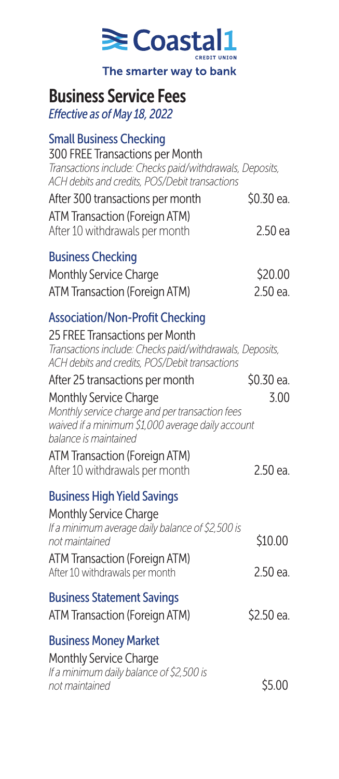

# Business Service Fees

*Effective as of May 18, 2022*

#### Small Business Checking

300 FREE Transactions per Month *Transactions include: Checks paid/withdrawals, Deposits, ACH debits and credits, POS/Debit transactions*

| After 300 transactions per month | \$0.30 ea. |
|----------------------------------|------------|
| ATM Transaction (Foreign ATM)    |            |
| After 10 withdrawals per month   | 2.50 ea    |

## Business Checking

| Monthly Service Charge        | \$20.00  |
|-------------------------------|----------|
| ATM Transaction (Foreign ATM) | 2.50 ea. |

### Association/Non-Profit Checking

25 FREE Transactions per Month *Transactions include: Checks paid/withdrawals, Deposits, ACH debits and credits, POS/Debit transactions* After 25 transactions per month \$0.30 ea. Monthly Service Charge 3.00 *Monthly service charge and per transaction fees waived if a minimum \$1,000 average daily account balance is maintained* ATM Transaction (Foreign ATM) After 10 withdrawals per month 2.50 ea. Business High Yield Savings Monthly Service Charge *If a minimum average daily balance of \$2,500 is not maintained* \$10.00 ATM Transaction (Foreign ATM) After 10 withdrawals per month 2.50 ea. Business Statement Savings ATM Transaction (Foreign ATM) \$2.50 ea. Business Money Market

Monthly Service Charge *If a minimum daily balance of \$2,500 is not maintained* \$5.00